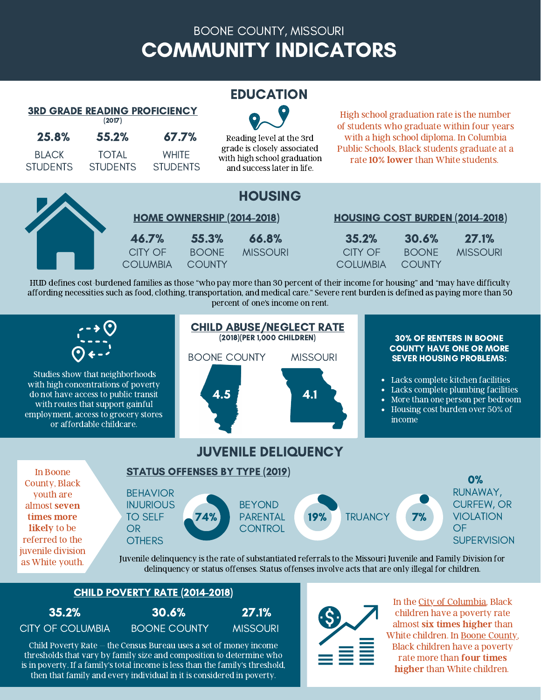# BOONE COUNTY, MISSOURI COMMUNITY INDICATORS

| <b>3RD GRADE READING PROFICIENCY</b> |                 |                 |  |  |  |
|--------------------------------------|-----------------|-----------------|--|--|--|
| (2017)                               |                 |                 |  |  |  |
| 25.8%                                | 55.2%           | $67.7\%$        |  |  |  |
| BI ACK                               | <b>TOTAL</b>    | <b>WHITE</b>    |  |  |  |
| <b>STUDENTS</b>                      | <b>STUDENTS</b> | <b>STUDENTS</b> |  |  |  |

EDUCATION

Reading level at the 3rd grade is closely associated with high school graduation and success later in life.

High school [graduation](http://booneindicators.org/IndicatorView.aspx?id=4848) rate is the number of students who graduate within four years with a high school diploma. In Columbia Public Schools, Black students graduate at a rate 10% lower than White students.



HUD defines cost-burdened families as those "who pay more than 30 percent of their income for housing" and "may have difficulty affording necessities such as food, clothing, transportation, and medical care." Severe rent burden is defined as paying more than 50 percent of one's income on rent.



# CHILD POVERTY RATE (2014-2018)

35.2% 30.6% 27.1% CITY OF COLUMBIA BOONE COUNTY MISSOURI

Child Poverty Rate – the Census Bureau uses a set of money income thresholds that vary by family size and composition to determine who is in poverty. If a family's total income is less than the family's threshold, then that family and every individual in it is considered in poverty.



In [the](http://booneindicators.org/IndicatorView.aspx?id=4828) City of [Columbia,](http://booneindicators.org/IndicatorView.aspx?id=4828) Black children have a poverty rate almost six times [higher](http://booneindicators.org/IndicatorView.aspx?id=4828) than White [children.](http://booneindicators.org/IndicatorView.aspx?id=4828) In Boone [County](http://booneindicators.org/IndicatorView.aspx?id=4828), Black children have a poverty rate more than four times higher than White [children.](http://booneindicators.org/IndicatorView.aspx?id=4828)